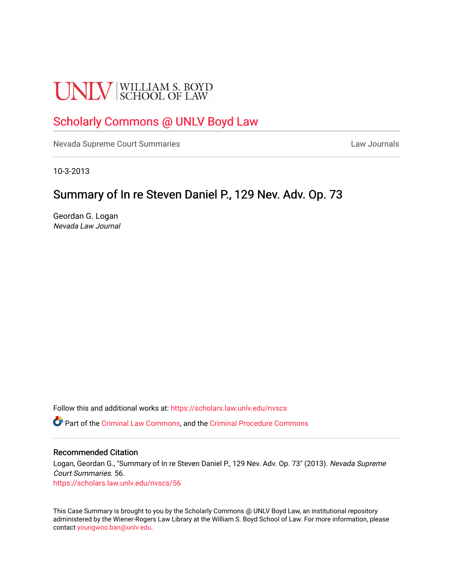# **UNLV** SCHOOL OF LAW

## [Scholarly Commons @ UNLV Boyd Law](https://scholars.law.unlv.edu/)

[Nevada Supreme Court Summaries](https://scholars.law.unlv.edu/nvscs) **Law Journals** Law Journals

10-3-2013

### Summary of In re Steven Daniel P., 129 Nev. Adv. Op. 73

Geordan G. Logan Nevada Law Journal

Follow this and additional works at: [https://scholars.law.unlv.edu/nvscs](https://scholars.law.unlv.edu/nvscs?utm_source=scholars.law.unlv.edu%2Fnvscs%2F56&utm_medium=PDF&utm_campaign=PDFCoverPages)

Part of the [Criminal Law Commons,](http://network.bepress.com/hgg/discipline/912?utm_source=scholars.law.unlv.edu%2Fnvscs%2F56&utm_medium=PDF&utm_campaign=PDFCoverPages) and the [Criminal Procedure Commons](http://network.bepress.com/hgg/discipline/1073?utm_source=scholars.law.unlv.edu%2Fnvscs%2F56&utm_medium=PDF&utm_campaign=PDFCoverPages)

#### Recommended Citation

Logan, Geordan G., "Summary of In re Steven Daniel P., 129 Nev. Adv. Op. 73" (2013). Nevada Supreme Court Summaries. 56. [https://scholars.law.unlv.edu/nvscs/56](https://scholars.law.unlv.edu/nvscs/56?utm_source=scholars.law.unlv.edu%2Fnvscs%2F56&utm_medium=PDF&utm_campaign=PDFCoverPages) 

This Case Summary is brought to you by the Scholarly Commons @ UNLV Boyd Law, an institutional repository administered by the Wiener-Rogers Law Library at the William S. Boyd School of Law. For more information, please contact [youngwoo.ban@unlv.edu](mailto:youngwoo.ban@unlv.edu).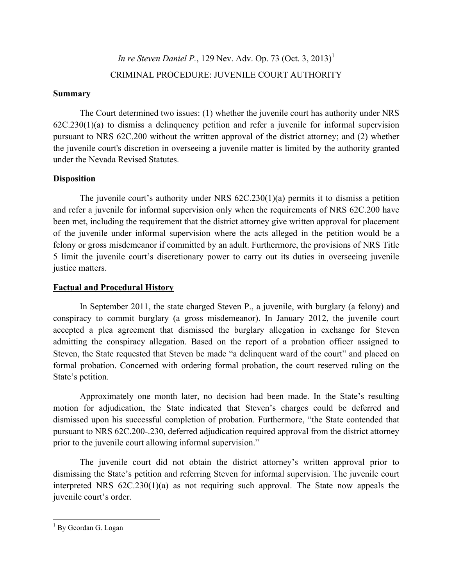## *In re Steven Daniel P.*, 129 Nev. Adv. Op. 73 (Oct. 3, 2013) 1 CRIMINAL PROCEDURE: JUVENILE COURT AUTHORITY

#### **Summary**

The Court determined two issues: (1) whether the juvenile court has authority under NRS 62C.230(1)(a) to dismiss a delinquency petition and refer a juvenile for informal supervision pursuant to NRS 62C.200 without the written approval of the district attorney; and (2) whether the juvenile court's discretion in overseeing a juvenile matter is limited by the authority granted under the Nevada Revised Statutes.

#### **Disposition**

The juvenile court's authority under NRS 62C.230(1)(a) permits it to dismiss a petition and refer a juvenile for informal supervision only when the requirements of NRS 62C.200 have been met, including the requirement that the district attorney give written approval for placement of the juvenile under informal supervision where the acts alleged in the petition would be a felony or gross misdemeanor if committed by an adult. Furthermore, the provisions of NRS Title 5 limit the juvenile court's discretionary power to carry out its duties in overseeing juvenile justice matters.

#### **Factual and Procedural History**

In September 2011, the state charged Steven P., a juvenile, with burglary (a felony) and conspiracy to commit burglary (a gross misdemeanor). In January 2012, the juvenile court accepted a plea agreement that dismissed the burglary allegation in exchange for Steven admitting the conspiracy allegation. Based on the report of a probation officer assigned to Steven, the State requested that Steven be made "a delinquent ward of the court" and placed on formal probation. Concerned with ordering formal probation, the court reserved ruling on the State's petition.

Approximately one month later, no decision had been made. In the State's resulting motion for adjudication, the State indicated that Steven's charges could be deferred and dismissed upon his successful completion of probation. Furthermore, "the State contended that pursuant to NRS 62C.200-.230, deferred adjudication required approval from the district attorney prior to the juvenile court allowing informal supervision."

The juvenile court did not obtain the district attorney's written approval prior to dismissing the State's petition and referring Steven for informal supervision. The juvenile court interpreted NRS 62C.230(1)(a) as not requiring such approval. The State now appeals the juvenile court's order.

<sup>&</sup>lt;sup>1</sup> By Geordan G. Logan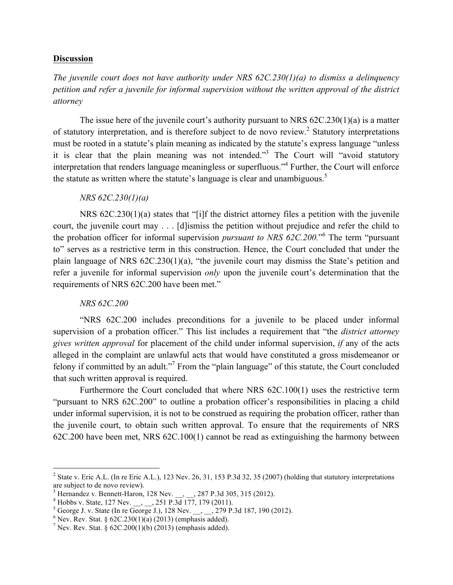#### **Discussion**

*The juvenile court does not have authority under NRS 62C.230(1)(a) to dismiss a delinquency petition and refer a juvenile for informal supervision without the written approval of the district attorney*

The issue here of the juvenile court's authority pursuant to NRS 62C.230(1)(a) is a matter of statutory interpretation, and is therefore subject to de novo review.<sup>2</sup> Statutory interpretations must be rooted in a statute's plain meaning as indicated by the statute's express language "unless it is clear that the plain meaning was not intended.<sup>33</sup> The Court will "avoid statutory interpretation that renders language meaningless or superfluous."4 Further, the Court will enforce the statute as written where the statute's language is clear and unambiguous.<sup>5</sup>

#### *NRS 62C.230(1)(a)*

NRS 62C.230(1)(a) states that "[i]f the district attorney files a petition with the juvenile court, the juvenile court may . . . [d]ismiss the petition without prejudice and refer the child to the probation officer for informal supervision *pursuant to NRS 62C.200.*" <sup>6</sup> The term "pursuant to" serves as a restrictive term in this construction. Hence, the Court concluded that under the plain language of NRS 62C.230(1)(a), "the juvenile court may dismiss the State's petition and refer a juvenile for informal supervision *only* upon the juvenile court's determination that the requirements of NRS 62C.200 have been met."

#### *NRS 62C.200*

"NRS 62C.200 includes preconditions for a juvenile to be placed under informal supervision of a probation officer." This list includes a requirement that "the *district attorney gives written approval* for placement of the child under informal supervision, *if* any of the acts alleged in the complaint are unlawful acts that would have constituted a gross misdemeanor or felony if committed by an adult."<sup>7</sup> From the "plain language" of this statute, the Court concluded that such written approval is required.

Furthermore the Court concluded that where NRS 62C.100(1) uses the restrictive term "pursuant to NRS 62C.200" to outline a probation officer's responsibilities in placing a child under informal supervision, it is not to be construed as requiring the probation officer, rather than the juvenile court, to obtain such written approval. To ensure that the requirements of NRS 62C.200 have been met, NRS 62C.100(1) cannot be read as extinguishing the harmony between

<sup>&</sup>lt;sup>2</sup> State v. Eric A.L. (In re Eric A.L.), 123 Nev. 26, 31, 153 P.3d 32, 35 (2007) (holding that statutory interpretations are subject to de novo review).<br>
<sup>3</sup> Hernandez v. Bennett-Haron, 128 Nev. \_\_, \_\_, 287 P.3d 305, 315 (2012).<br>
<sup>4</sup> Hobbs v. State, 127 Nev. \_\_, \_\_, 251 P.3d 177, 179 (2011).<br>
<sup>5</sup> George J. v. State (In re George J.), 128 Ne